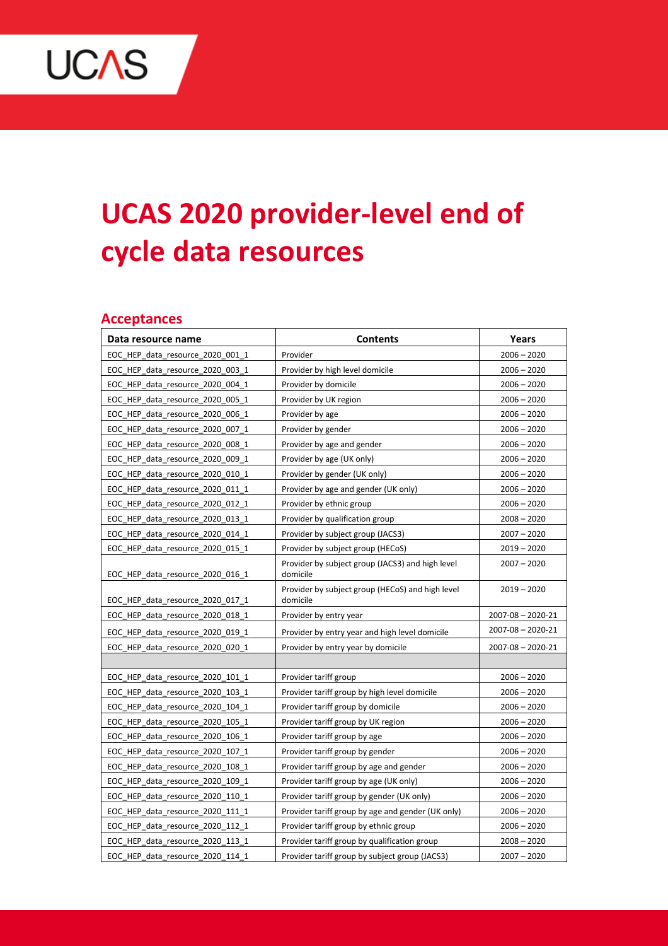

# **UCAS 2020 provider-level end of cycle data resources**

#### **Acceptances**

| Data resource name               | <b>Contents</b>                                              | Years                   |
|----------------------------------|--------------------------------------------------------------|-------------------------|
| EOC HEP data resource 2020 001 1 | Provider                                                     | $2006 - 2020$           |
| EOC HEP data resource 2020 003 1 | Provider by high level domicile                              | $2006 - 2020$           |
| EOC_HEP_data_resource_2020_004_1 | Provider by domicile                                         | $2006 - 2020$           |
| EOC_HEP_data_resource_2020_005_1 | Provider by UK region                                        | $2006 - 2020$           |
| EOC_HEP_data_resource_2020_006_1 | Provider by age                                              | $2006 - 2020$           |
| EOC HEP data resource 2020 007 1 | Provider by gender                                           | $2006 - 2020$           |
| EOC HEP data resource 2020 008 1 | Provider by age and gender                                   | $2006 - 2020$           |
| EOC HEP data resource 2020 009 1 | Provider by age (UK only)                                    | $2006 - 2020$           |
| EOC HEP data resource 2020 010 1 | Provider by gender (UK only)                                 | $2006 - 2020$           |
| EOC HEP data resource 2020 011 1 | Provider by age and gender (UK only)                         | $2006 - 2020$           |
| EOC HEP data resource 2020 012 1 | Provider by ethnic group                                     | $2006 - 2020$           |
| EOC HEP data resource 2020 013 1 | Provider by qualification group                              | $2008 - 2020$           |
| EOC_HEP_data_resource_2020_014_1 | Provider by subject group (JACS3)                            | $2007 - 2020$           |
| EOC HEP data resource 2020 015 1 | Provider by subject group (HECoS)                            | $2019 - 2020$           |
| EOC HEP data resource 2020 016 1 | Provider by subject group (JACS3) and high level<br>domicile | $2007 - 2020$           |
| EOC HEP data resource 2020 017 1 | Provider by subject group (HECoS) and high level<br>domicile | $2019 - 2020$           |
| EOC_HEP_data_resource_2020_018_1 | Provider by entry year                                       | $2007 - 08 - 2020 - 21$ |
| EOC HEP data resource 2020 019 1 | Provider by entry year and high level domicile               | $2007 - 08 - 2020 - 21$ |
| EOC HEP data resource 2020 020 1 | Provider by entry year by domicile                           | $2007 - 08 - 2020 - 21$ |
|                                  |                                                              |                         |
| EOC HEP data resource 2020 101 1 | Provider tariff group                                        | $2006 - 2020$           |
| EOC_HEP_data_resource_2020_103_1 | Provider tariff group by high level domicile                 | $2006 - 2020$           |
| EOC_HEP_data_resource_2020_104_1 | Provider tariff group by domicile                            | $2006 - 2020$           |
| EOC HEP data resource 2020 105 1 | Provider tariff group by UK region                           | $2006 - 2020$           |
| EOC_HEP_data_resource_2020_106_1 | Provider tariff group by age                                 | $2006 - 2020$           |
| EOC HEP data resource 2020 107 1 | Provider tariff group by gender                              | $2006 - 2020$           |
| EOC HEP data resource 2020 108 1 | Provider tariff group by age and gender                      | $2006 - 2020$           |
| EOC HEP data resource 2020 109 1 | Provider tariff group by age (UK only)                       | $2006 - 2020$           |
| EOC HEP data resource 2020 110 1 | Provider tariff group by gender (UK only)                    | $2006 - 2020$           |
| EOC_HEP_data_resource_2020_111_1 | Provider tariff group by age and gender (UK only)            | $2006 - 2020$           |
| EOC HEP data resource 2020 112 1 | Provider tariff group by ethnic group                        | $2006 - 2020$           |
| EOC HEP data resource 2020 113 1 | Provider tariff group by qualification group                 | $2008 - 2020$           |
| EOC_HEP_data_resource_2020_114_1 | Provider tariff group by subject group (JACS3)               | $2007 - 2020$           |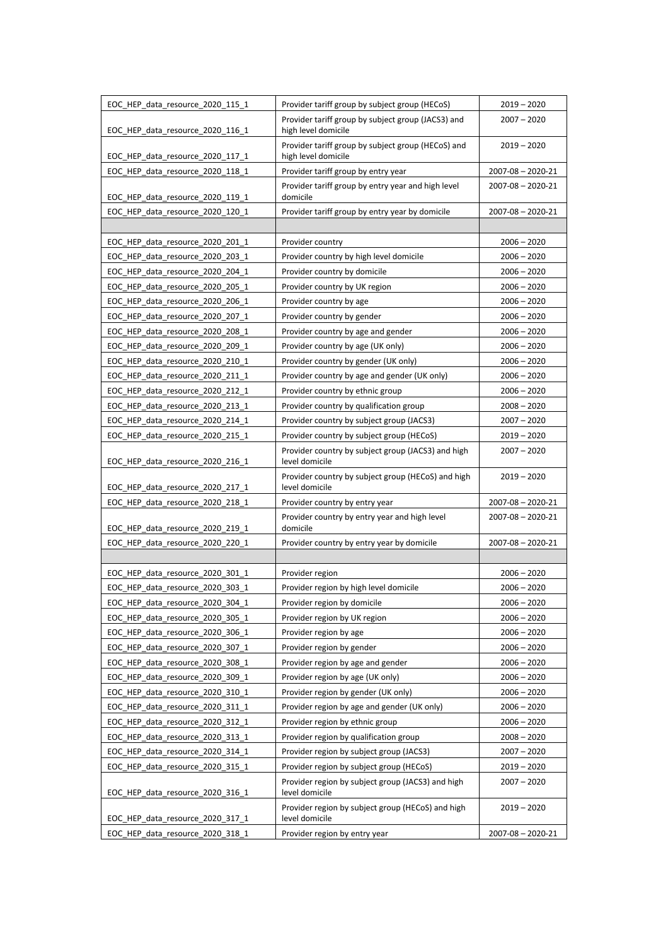| EOC HEP data resource 2020 115 1 | Provider tariff group by subject group (HECoS)                            | $2019 - 2020$           |
|----------------------------------|---------------------------------------------------------------------------|-------------------------|
| EOC HEP data resource 2020 116 1 | Provider tariff group by subject group (JACS3) and<br>high level domicile | $2007 - 2020$           |
| EOC_HEP_data_resource_2020_117_1 | Provider tariff group by subject group (HECoS) and<br>high level domicile | $2019 - 2020$           |
| EOC HEP data resource 2020 118 1 | Provider tariff group by entry year                                       | $2007 - 08 - 2020 - 21$ |
| EOC HEP data resource 2020 119 1 | Provider tariff group by entry year and high level<br>domicile            | $2007 - 08 - 2020 - 21$ |
| EOC HEP data resource 2020 120 1 | Provider tariff group by entry year by domicile                           | $2007 - 08 - 2020 - 21$ |
|                                  |                                                                           |                         |
| EOC_HEP_data_resource_2020_201_1 | Provider country                                                          | $2006 - 2020$           |
| EOC HEP data resource 2020 203 1 | Provider country by high level domicile                                   | $2006 - 2020$           |
| EOC HEP data resource 2020 204 1 | Provider country by domicile                                              | $2006 - 2020$           |
| EOC HEP data resource 2020 205 1 | Provider country by UK region                                             | $2006 - 2020$           |
| EOC HEP data resource 2020 206 1 | Provider country by age                                                   | $2006 - 2020$           |
| EOC_HEP_data_resource_2020_207_1 | Provider country by gender                                                | $2006 - 2020$           |
| EOC HEP data resource 2020 208 1 | Provider country by age and gender                                        | $2006 - 2020$           |
| EOC HEP data resource 2020 209 1 | Provider country by age (UK only)                                         | $2006 - 2020$           |
| EOC HEP data resource 2020 210 1 | Provider country by gender (UK only)                                      | $2006 - 2020$           |
| EOC_HEP_data_resource_2020_211_1 | Provider country by age and gender (UK only)                              | $2006 - 2020$           |
| EOC_HEP_data_resource_2020_212_1 | Provider country by ethnic group                                          | $2006 - 2020$           |
| EOC HEP data resource 2020 213 1 | Provider country by qualification group                                   | $2008 - 2020$           |
| EOC_HEP_data_resource_2020_214_1 | Provider country by subject group (JACS3)                                 | $2007 - 2020$           |
| EOC HEP data resource 2020 215 1 | Provider country by subject group (HECoS)                                 | $2019 - 2020$           |
| EOC HEP data resource 2020 216 1 | Provider country by subject group (JACS3) and high<br>level domicile      | $2007 - 2020$           |
| EOC HEP data resource 2020 217 1 | Provider country by subject group (HECoS) and high<br>level domicile      | $2019 - 2020$           |
| EOC HEP data resource 2020 218 1 | Provider country by entry year                                            | $2007 - 08 - 2020 - 21$ |
| EOC HEP data resource 2020 219 1 | Provider country by entry year and high level<br>domicile                 | $2007 - 08 - 2020 - 21$ |
| EOC_HEP_data_resource_2020_220_1 | Provider country by entry year by domicile                                | $2007 - 08 - 2020 - 21$ |
|                                  |                                                                           |                         |
| EOC HEP data resource 2020 301 1 | Provider region                                                           | $2006 - 2020$           |
| EOC HEP data resource 2020 303 1 | Provider region by high level domicile                                    | $2006 - 2020$           |
| EOC_HEP_data_resource_2020_304_1 | Provider region by domicile                                               | $2006 - 2020$           |
| EOC HEP data resource 2020 305 1 | Provider region by UK region                                              | $2006 - 2020$           |
| EOC HEP data resource 2020 306 1 | Provider region by age                                                    | $2006 - 2020$           |
| EOC_HEP_data_resource_2020_307_1 | Provider region by gender                                                 | $2006 - 2020$           |
| EOC HEP data resource 2020 308 1 | Provider region by age and gender                                         | $2006 - 2020$           |
| EOC HEP data resource 2020 309 1 | Provider region by age (UK only)                                          | $2006 - 2020$           |
| EOC_HEP_data_resource_2020_310_1 | Provider region by gender (UK only)                                       | $2006 - 2020$           |
| EOC_HEP_data_resource_2020_311_1 | Provider region by age and gender (UK only)                               | $2006 - 2020$           |
| EOC_HEP_data_resource_2020_312_1 | Provider region by ethnic group                                           | $2006 - 2020$           |
| EOC HEP data resource 2020 313 1 | Provider region by qualification group                                    | $2008 - 2020$           |
| EOC HEP data resource 2020 314 1 | Provider region by subject group (JACS3)                                  | $2007 - 2020$           |
| EOC_HEP_data_resource_2020_315_1 | Provider region by subject group (HECoS)                                  | $2019 - 2020$           |
| EOC_HEP_data_resource_2020_316_1 | Provider region by subject group (JACS3) and high<br>level domicile       | $2007 - 2020$           |
| EOC_HEP_data_resource_2020_317_1 | Provider region by subject group (HECoS) and high<br>level domicile       | $2019 - 2020$           |
| EOC_HEP_data_resource_2020_318_1 | Provider region by entry year                                             | $2007 - 08 - 2020 - 21$ |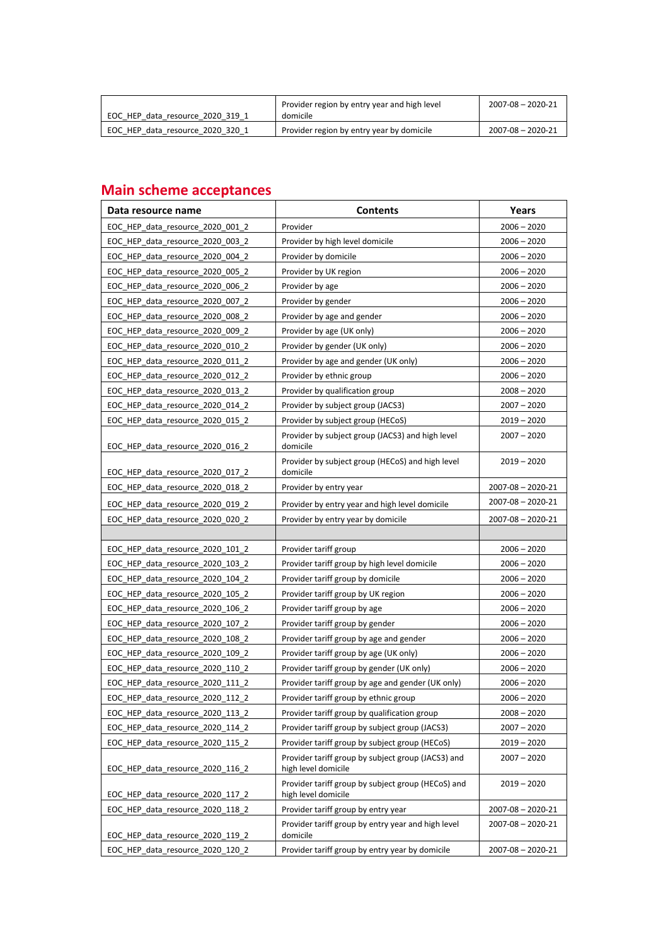| EOC HEP data resource 2020 319 1 | Provider region by entry year and high level<br>domicile | $2007 - 08 - 2020 - 21$ |
|----------------------------------|----------------------------------------------------------|-------------------------|
| EOC HEP data resource 2020 320 1 | Provider region by entry year by domicile                | $2007 - 08 - 2020 - 21$ |

## **Main scheme acceptances**

| $2006 - 2020$<br>EOC HEP data resource 2020 001 2<br>Provider<br>EOC HEP data resource 2020 003 2<br>Provider by high level domicile<br>$2006 - 2020$<br>EOC_HEP_data_resource_2020_004_2<br>Provider by domicile<br>$2006 - 2020$<br>EOC HEP data resource 2020 005 2<br>Provider by UK region<br>$2006 - 2020$<br>EOC_HEP_data_resource_2020_006_2<br>$2006 - 2020$<br>Provider by age<br>EOC HEP data resource 2020 007 2<br>Provider by gender<br>$2006 - 2020$<br>EOC HEP data resource 2020 008 2<br>Provider by age and gender<br>$2006 - 2020$<br>EOC HEP data resource 2020 009 2<br>Provider by age (UK only)<br>$2006 - 2020$<br>EOC HEP data resource 2020 010 2<br>Provider by gender (UK only)<br>$2006 - 2020$<br>$2006 - 2020$<br>EOC HEP data resource 2020 011 2<br>Provider by age and gender (UK only)<br>EOC_HEP_data_resource_2020_012_2<br>Provider by ethnic group<br>$2006 - 2020$<br>EOC HEP data resource 2020 013 2<br>Provider by qualification group<br>$2008 - 2020$<br>EOC HEP data resource 2020 014 2<br>Provider by subject group (JACS3)<br>$2007 - 2020$<br>$2019 - 2020$<br>EOC HEP data resource 2020 015 2<br>Provider by subject group (HECoS)<br>Provider by subject group (JACS3) and high level<br>$2007 - 2020$<br>EOC_HEP_data_resource_2020_016_2<br>domicile<br>$2019 - 2020$<br>Provider by subject group (HECoS) and high level<br>domicile<br>EOC_HEP_data_resource_2020_017_2<br>EOC HEP data resource 2020 018 2<br>Provider by entry year<br>$2007 - 08 - 2020 - 21$<br>2007-08 - 2020-21<br>EOC HEP data resource 2020 019 2<br>Provider by entry year and high level domicile<br>EOC HEP data resource 2020 020 2<br>Provider by entry year by domicile<br>2007-08 - 2020-21<br>EOC_HEP_data_resource_2020_101_2<br>Provider tariff group<br>$2006 - 2020$<br>EOC_HEP_data_resource_2020_103_2<br>Provider tariff group by high level domicile<br>$2006 - 2020$<br>EOC HEP data resource 2020 104 2<br>Provider tariff group by domicile<br>$2006 - 2020$<br>EOC HEP data resource 2020 105 2<br>$2006 - 2020$<br>Provider tariff group by UK region<br>EOC_HEP_data_resource_2020_106_2<br>Provider tariff group by age<br>$2006 - 2020$<br>EOC_HEP_data_resource_2020_107_2<br>Provider tariff group by gender<br>$2006 - 2020$<br>EOC HEP data resource 2020 108 2<br>Provider tariff group by age and gender<br>$2006 - 2020$<br>EOC_HEP_data_resource_2020_109_2<br>Provider tariff group by age (UK only)<br>$2006 - 2020$<br>EOC HEP data resource 2020 110 2<br>Provider tariff group by gender (UK only)<br>$2006 - 2020$<br>EOC HEP data resource 2020 111 2<br>Provider tariff group by age and gender (UK only)<br>$2006 - 2020$<br>EOC HEP data resource 2020 112 2<br>Provider tariff group by ethnic group<br>$2006 - 2020$<br>EOC_HEP_data_resource_2020_113_2<br>Provider tariff group by qualification group<br>$2008 - 2020$<br>EOC HEP data resource 2020 114 2<br>Provider tariff group by subject group (JACS3)<br>$2007 - 2020$<br>Provider tariff group by subject group (HECoS)<br>EOC HEP data resource 2020 115 2<br>$2019 - 2020$<br>Provider tariff group by subject group (JACS3) and<br>$2007 - 2020$<br>EOC HEP data resource 2020 116 2<br>high level domicile<br>Provider tariff group by subject group (HECoS) and<br>$2019 - 2020$<br>EOC HEP data resource 2020 117 2<br>high level domicile<br>EOC_HEP_data_resource_2020_118_2<br>Provider tariff group by entry year<br>$2007 - 08 - 2020 - 21$<br>Provider tariff group by entry year and high level<br>$2007 - 08 - 2020 - 21$<br>EOC_HEP_data_resource_2020_119_2<br>domicile<br>EOC HEP data resource 2020 120 2<br>Provider tariff group by entry year by domicile<br>$2007 - 08 - 2020 - 21$ | Data resource name | <b>Contents</b> | Years |
|----------------------------------------------------------------------------------------------------------------------------------------------------------------------------------------------------------------------------------------------------------------------------------------------------------------------------------------------------------------------------------------------------------------------------------------------------------------------------------------------------------------------------------------------------------------------------------------------------------------------------------------------------------------------------------------------------------------------------------------------------------------------------------------------------------------------------------------------------------------------------------------------------------------------------------------------------------------------------------------------------------------------------------------------------------------------------------------------------------------------------------------------------------------------------------------------------------------------------------------------------------------------------------------------------------------------------------------------------------------------------------------------------------------------------------------------------------------------------------------------------------------------------------------------------------------------------------------------------------------------------------------------------------------------------------------------------------------------------------------------------------------------------------------------------------------------------------------------------------------------------------------------------------------------------------------------------------------------------------------------------------------------------------------------------------------------------------------------------------------------------------------------------------------------------------------------------------------------------------------------------------------------------------------------------------------------------------------------------------------------------------------------------------------------------------------------------------------------------------------------------------------------------------------------------------------------------------------------------------------------------------------------------------------------------------------------------------------------------------------------------------------------------------------------------------------------------------------------------------------------------------------------------------------------------------------------------------------------------------------------------------------------------------------------------------------------------------------------------------------------------------------------------------------------------------------------------------------------------------------------------------------------------------------------------------------------------------------------------------------------------------------------------------------------------------------------------------------------------------------------------------------------------------------------------------------------------------------------------------------------------------------------------------------------------------------------------------------------------------------------------|--------------------|-----------------|-------|
|                                                                                                                                                                                                                                                                                                                                                                                                                                                                                                                                                                                                                                                                                                                                                                                                                                                                                                                                                                                                                                                                                                                                                                                                                                                                                                                                                                                                                                                                                                                                                                                                                                                                                                                                                                                                                                                                                                                                                                                                                                                                                                                                                                                                                                                                                                                                                                                                                                                                                                                                                                                                                                                                                                                                                                                                                                                                                                                                                                                                                                                                                                                                                                                                                                                                                                                                                                                                                                                                                                                                                                                                                                                                                                                                                    |                    |                 |       |
|                                                                                                                                                                                                                                                                                                                                                                                                                                                                                                                                                                                                                                                                                                                                                                                                                                                                                                                                                                                                                                                                                                                                                                                                                                                                                                                                                                                                                                                                                                                                                                                                                                                                                                                                                                                                                                                                                                                                                                                                                                                                                                                                                                                                                                                                                                                                                                                                                                                                                                                                                                                                                                                                                                                                                                                                                                                                                                                                                                                                                                                                                                                                                                                                                                                                                                                                                                                                                                                                                                                                                                                                                                                                                                                                                    |                    |                 |       |
|                                                                                                                                                                                                                                                                                                                                                                                                                                                                                                                                                                                                                                                                                                                                                                                                                                                                                                                                                                                                                                                                                                                                                                                                                                                                                                                                                                                                                                                                                                                                                                                                                                                                                                                                                                                                                                                                                                                                                                                                                                                                                                                                                                                                                                                                                                                                                                                                                                                                                                                                                                                                                                                                                                                                                                                                                                                                                                                                                                                                                                                                                                                                                                                                                                                                                                                                                                                                                                                                                                                                                                                                                                                                                                                                                    |                    |                 |       |
|                                                                                                                                                                                                                                                                                                                                                                                                                                                                                                                                                                                                                                                                                                                                                                                                                                                                                                                                                                                                                                                                                                                                                                                                                                                                                                                                                                                                                                                                                                                                                                                                                                                                                                                                                                                                                                                                                                                                                                                                                                                                                                                                                                                                                                                                                                                                                                                                                                                                                                                                                                                                                                                                                                                                                                                                                                                                                                                                                                                                                                                                                                                                                                                                                                                                                                                                                                                                                                                                                                                                                                                                                                                                                                                                                    |                    |                 |       |
|                                                                                                                                                                                                                                                                                                                                                                                                                                                                                                                                                                                                                                                                                                                                                                                                                                                                                                                                                                                                                                                                                                                                                                                                                                                                                                                                                                                                                                                                                                                                                                                                                                                                                                                                                                                                                                                                                                                                                                                                                                                                                                                                                                                                                                                                                                                                                                                                                                                                                                                                                                                                                                                                                                                                                                                                                                                                                                                                                                                                                                                                                                                                                                                                                                                                                                                                                                                                                                                                                                                                                                                                                                                                                                                                                    |                    |                 |       |
|                                                                                                                                                                                                                                                                                                                                                                                                                                                                                                                                                                                                                                                                                                                                                                                                                                                                                                                                                                                                                                                                                                                                                                                                                                                                                                                                                                                                                                                                                                                                                                                                                                                                                                                                                                                                                                                                                                                                                                                                                                                                                                                                                                                                                                                                                                                                                                                                                                                                                                                                                                                                                                                                                                                                                                                                                                                                                                                                                                                                                                                                                                                                                                                                                                                                                                                                                                                                                                                                                                                                                                                                                                                                                                                                                    |                    |                 |       |
|                                                                                                                                                                                                                                                                                                                                                                                                                                                                                                                                                                                                                                                                                                                                                                                                                                                                                                                                                                                                                                                                                                                                                                                                                                                                                                                                                                                                                                                                                                                                                                                                                                                                                                                                                                                                                                                                                                                                                                                                                                                                                                                                                                                                                                                                                                                                                                                                                                                                                                                                                                                                                                                                                                                                                                                                                                                                                                                                                                                                                                                                                                                                                                                                                                                                                                                                                                                                                                                                                                                                                                                                                                                                                                                                                    |                    |                 |       |
|                                                                                                                                                                                                                                                                                                                                                                                                                                                                                                                                                                                                                                                                                                                                                                                                                                                                                                                                                                                                                                                                                                                                                                                                                                                                                                                                                                                                                                                                                                                                                                                                                                                                                                                                                                                                                                                                                                                                                                                                                                                                                                                                                                                                                                                                                                                                                                                                                                                                                                                                                                                                                                                                                                                                                                                                                                                                                                                                                                                                                                                                                                                                                                                                                                                                                                                                                                                                                                                                                                                                                                                                                                                                                                                                                    |                    |                 |       |
|                                                                                                                                                                                                                                                                                                                                                                                                                                                                                                                                                                                                                                                                                                                                                                                                                                                                                                                                                                                                                                                                                                                                                                                                                                                                                                                                                                                                                                                                                                                                                                                                                                                                                                                                                                                                                                                                                                                                                                                                                                                                                                                                                                                                                                                                                                                                                                                                                                                                                                                                                                                                                                                                                                                                                                                                                                                                                                                                                                                                                                                                                                                                                                                                                                                                                                                                                                                                                                                                                                                                                                                                                                                                                                                                                    |                    |                 |       |
|                                                                                                                                                                                                                                                                                                                                                                                                                                                                                                                                                                                                                                                                                                                                                                                                                                                                                                                                                                                                                                                                                                                                                                                                                                                                                                                                                                                                                                                                                                                                                                                                                                                                                                                                                                                                                                                                                                                                                                                                                                                                                                                                                                                                                                                                                                                                                                                                                                                                                                                                                                                                                                                                                                                                                                                                                                                                                                                                                                                                                                                                                                                                                                                                                                                                                                                                                                                                                                                                                                                                                                                                                                                                                                                                                    |                    |                 |       |
|                                                                                                                                                                                                                                                                                                                                                                                                                                                                                                                                                                                                                                                                                                                                                                                                                                                                                                                                                                                                                                                                                                                                                                                                                                                                                                                                                                                                                                                                                                                                                                                                                                                                                                                                                                                                                                                                                                                                                                                                                                                                                                                                                                                                                                                                                                                                                                                                                                                                                                                                                                                                                                                                                                                                                                                                                                                                                                                                                                                                                                                                                                                                                                                                                                                                                                                                                                                                                                                                                                                                                                                                                                                                                                                                                    |                    |                 |       |
|                                                                                                                                                                                                                                                                                                                                                                                                                                                                                                                                                                                                                                                                                                                                                                                                                                                                                                                                                                                                                                                                                                                                                                                                                                                                                                                                                                                                                                                                                                                                                                                                                                                                                                                                                                                                                                                                                                                                                                                                                                                                                                                                                                                                                                                                                                                                                                                                                                                                                                                                                                                                                                                                                                                                                                                                                                                                                                                                                                                                                                                                                                                                                                                                                                                                                                                                                                                                                                                                                                                                                                                                                                                                                                                                                    |                    |                 |       |
|                                                                                                                                                                                                                                                                                                                                                                                                                                                                                                                                                                                                                                                                                                                                                                                                                                                                                                                                                                                                                                                                                                                                                                                                                                                                                                                                                                                                                                                                                                                                                                                                                                                                                                                                                                                                                                                                                                                                                                                                                                                                                                                                                                                                                                                                                                                                                                                                                                                                                                                                                                                                                                                                                                                                                                                                                                                                                                                                                                                                                                                                                                                                                                                                                                                                                                                                                                                                                                                                                                                                                                                                                                                                                                                                                    |                    |                 |       |
|                                                                                                                                                                                                                                                                                                                                                                                                                                                                                                                                                                                                                                                                                                                                                                                                                                                                                                                                                                                                                                                                                                                                                                                                                                                                                                                                                                                                                                                                                                                                                                                                                                                                                                                                                                                                                                                                                                                                                                                                                                                                                                                                                                                                                                                                                                                                                                                                                                                                                                                                                                                                                                                                                                                                                                                                                                                                                                                                                                                                                                                                                                                                                                                                                                                                                                                                                                                                                                                                                                                                                                                                                                                                                                                                                    |                    |                 |       |
|                                                                                                                                                                                                                                                                                                                                                                                                                                                                                                                                                                                                                                                                                                                                                                                                                                                                                                                                                                                                                                                                                                                                                                                                                                                                                                                                                                                                                                                                                                                                                                                                                                                                                                                                                                                                                                                                                                                                                                                                                                                                                                                                                                                                                                                                                                                                                                                                                                                                                                                                                                                                                                                                                                                                                                                                                                                                                                                                                                                                                                                                                                                                                                                                                                                                                                                                                                                                                                                                                                                                                                                                                                                                                                                                                    |                    |                 |       |
|                                                                                                                                                                                                                                                                                                                                                                                                                                                                                                                                                                                                                                                                                                                                                                                                                                                                                                                                                                                                                                                                                                                                                                                                                                                                                                                                                                                                                                                                                                                                                                                                                                                                                                                                                                                                                                                                                                                                                                                                                                                                                                                                                                                                                                                                                                                                                                                                                                                                                                                                                                                                                                                                                                                                                                                                                                                                                                                                                                                                                                                                                                                                                                                                                                                                                                                                                                                                                                                                                                                                                                                                                                                                                                                                                    |                    |                 |       |
|                                                                                                                                                                                                                                                                                                                                                                                                                                                                                                                                                                                                                                                                                                                                                                                                                                                                                                                                                                                                                                                                                                                                                                                                                                                                                                                                                                                                                                                                                                                                                                                                                                                                                                                                                                                                                                                                                                                                                                                                                                                                                                                                                                                                                                                                                                                                                                                                                                                                                                                                                                                                                                                                                                                                                                                                                                                                                                                                                                                                                                                                                                                                                                                                                                                                                                                                                                                                                                                                                                                                                                                                                                                                                                                                                    |                    |                 |       |
|                                                                                                                                                                                                                                                                                                                                                                                                                                                                                                                                                                                                                                                                                                                                                                                                                                                                                                                                                                                                                                                                                                                                                                                                                                                                                                                                                                                                                                                                                                                                                                                                                                                                                                                                                                                                                                                                                                                                                                                                                                                                                                                                                                                                                                                                                                                                                                                                                                                                                                                                                                                                                                                                                                                                                                                                                                                                                                                                                                                                                                                                                                                                                                                                                                                                                                                                                                                                                                                                                                                                                                                                                                                                                                                                                    |                    |                 |       |
|                                                                                                                                                                                                                                                                                                                                                                                                                                                                                                                                                                                                                                                                                                                                                                                                                                                                                                                                                                                                                                                                                                                                                                                                                                                                                                                                                                                                                                                                                                                                                                                                                                                                                                                                                                                                                                                                                                                                                                                                                                                                                                                                                                                                                                                                                                                                                                                                                                                                                                                                                                                                                                                                                                                                                                                                                                                                                                                                                                                                                                                                                                                                                                                                                                                                                                                                                                                                                                                                                                                                                                                                                                                                                                                                                    |                    |                 |       |
|                                                                                                                                                                                                                                                                                                                                                                                                                                                                                                                                                                                                                                                                                                                                                                                                                                                                                                                                                                                                                                                                                                                                                                                                                                                                                                                                                                                                                                                                                                                                                                                                                                                                                                                                                                                                                                                                                                                                                                                                                                                                                                                                                                                                                                                                                                                                                                                                                                                                                                                                                                                                                                                                                                                                                                                                                                                                                                                                                                                                                                                                                                                                                                                                                                                                                                                                                                                                                                                                                                                                                                                                                                                                                                                                                    |                    |                 |       |
|                                                                                                                                                                                                                                                                                                                                                                                                                                                                                                                                                                                                                                                                                                                                                                                                                                                                                                                                                                                                                                                                                                                                                                                                                                                                                                                                                                                                                                                                                                                                                                                                                                                                                                                                                                                                                                                                                                                                                                                                                                                                                                                                                                                                                                                                                                                                                                                                                                                                                                                                                                                                                                                                                                                                                                                                                                                                                                                                                                                                                                                                                                                                                                                                                                                                                                                                                                                                                                                                                                                                                                                                                                                                                                                                                    |                    |                 |       |
|                                                                                                                                                                                                                                                                                                                                                                                                                                                                                                                                                                                                                                                                                                                                                                                                                                                                                                                                                                                                                                                                                                                                                                                                                                                                                                                                                                                                                                                                                                                                                                                                                                                                                                                                                                                                                                                                                                                                                                                                                                                                                                                                                                                                                                                                                                                                                                                                                                                                                                                                                                                                                                                                                                                                                                                                                                                                                                                                                                                                                                                                                                                                                                                                                                                                                                                                                                                                                                                                                                                                                                                                                                                                                                                                                    |                    |                 |       |
|                                                                                                                                                                                                                                                                                                                                                                                                                                                                                                                                                                                                                                                                                                                                                                                                                                                                                                                                                                                                                                                                                                                                                                                                                                                                                                                                                                                                                                                                                                                                                                                                                                                                                                                                                                                                                                                                                                                                                                                                                                                                                                                                                                                                                                                                                                                                                                                                                                                                                                                                                                                                                                                                                                                                                                                                                                                                                                                                                                                                                                                                                                                                                                                                                                                                                                                                                                                                                                                                                                                                                                                                                                                                                                                                                    |                    |                 |       |
|                                                                                                                                                                                                                                                                                                                                                                                                                                                                                                                                                                                                                                                                                                                                                                                                                                                                                                                                                                                                                                                                                                                                                                                                                                                                                                                                                                                                                                                                                                                                                                                                                                                                                                                                                                                                                                                                                                                                                                                                                                                                                                                                                                                                                                                                                                                                                                                                                                                                                                                                                                                                                                                                                                                                                                                                                                                                                                                                                                                                                                                                                                                                                                                                                                                                                                                                                                                                                                                                                                                                                                                                                                                                                                                                                    |                    |                 |       |
|                                                                                                                                                                                                                                                                                                                                                                                                                                                                                                                                                                                                                                                                                                                                                                                                                                                                                                                                                                                                                                                                                                                                                                                                                                                                                                                                                                                                                                                                                                                                                                                                                                                                                                                                                                                                                                                                                                                                                                                                                                                                                                                                                                                                                                                                                                                                                                                                                                                                                                                                                                                                                                                                                                                                                                                                                                                                                                                                                                                                                                                                                                                                                                                                                                                                                                                                                                                                                                                                                                                                                                                                                                                                                                                                                    |                    |                 |       |
|                                                                                                                                                                                                                                                                                                                                                                                                                                                                                                                                                                                                                                                                                                                                                                                                                                                                                                                                                                                                                                                                                                                                                                                                                                                                                                                                                                                                                                                                                                                                                                                                                                                                                                                                                                                                                                                                                                                                                                                                                                                                                                                                                                                                                                                                                                                                                                                                                                                                                                                                                                                                                                                                                                                                                                                                                                                                                                                                                                                                                                                                                                                                                                                                                                                                                                                                                                                                                                                                                                                                                                                                                                                                                                                                                    |                    |                 |       |
|                                                                                                                                                                                                                                                                                                                                                                                                                                                                                                                                                                                                                                                                                                                                                                                                                                                                                                                                                                                                                                                                                                                                                                                                                                                                                                                                                                                                                                                                                                                                                                                                                                                                                                                                                                                                                                                                                                                                                                                                                                                                                                                                                                                                                                                                                                                                                                                                                                                                                                                                                                                                                                                                                                                                                                                                                                                                                                                                                                                                                                                                                                                                                                                                                                                                                                                                                                                                                                                                                                                                                                                                                                                                                                                                                    |                    |                 |       |
|                                                                                                                                                                                                                                                                                                                                                                                                                                                                                                                                                                                                                                                                                                                                                                                                                                                                                                                                                                                                                                                                                                                                                                                                                                                                                                                                                                                                                                                                                                                                                                                                                                                                                                                                                                                                                                                                                                                                                                                                                                                                                                                                                                                                                                                                                                                                                                                                                                                                                                                                                                                                                                                                                                                                                                                                                                                                                                                                                                                                                                                                                                                                                                                                                                                                                                                                                                                                                                                                                                                                                                                                                                                                                                                                                    |                    |                 |       |
|                                                                                                                                                                                                                                                                                                                                                                                                                                                                                                                                                                                                                                                                                                                                                                                                                                                                                                                                                                                                                                                                                                                                                                                                                                                                                                                                                                                                                                                                                                                                                                                                                                                                                                                                                                                                                                                                                                                                                                                                                                                                                                                                                                                                                                                                                                                                                                                                                                                                                                                                                                                                                                                                                                                                                                                                                                                                                                                                                                                                                                                                                                                                                                                                                                                                                                                                                                                                                                                                                                                                                                                                                                                                                                                                                    |                    |                 |       |
|                                                                                                                                                                                                                                                                                                                                                                                                                                                                                                                                                                                                                                                                                                                                                                                                                                                                                                                                                                                                                                                                                                                                                                                                                                                                                                                                                                                                                                                                                                                                                                                                                                                                                                                                                                                                                                                                                                                                                                                                                                                                                                                                                                                                                                                                                                                                                                                                                                                                                                                                                                                                                                                                                                                                                                                                                                                                                                                                                                                                                                                                                                                                                                                                                                                                                                                                                                                                                                                                                                                                                                                                                                                                                                                                                    |                    |                 |       |
|                                                                                                                                                                                                                                                                                                                                                                                                                                                                                                                                                                                                                                                                                                                                                                                                                                                                                                                                                                                                                                                                                                                                                                                                                                                                                                                                                                                                                                                                                                                                                                                                                                                                                                                                                                                                                                                                                                                                                                                                                                                                                                                                                                                                                                                                                                                                                                                                                                                                                                                                                                                                                                                                                                                                                                                                                                                                                                                                                                                                                                                                                                                                                                                                                                                                                                                                                                                                                                                                                                                                                                                                                                                                                                                                                    |                    |                 |       |
|                                                                                                                                                                                                                                                                                                                                                                                                                                                                                                                                                                                                                                                                                                                                                                                                                                                                                                                                                                                                                                                                                                                                                                                                                                                                                                                                                                                                                                                                                                                                                                                                                                                                                                                                                                                                                                                                                                                                                                                                                                                                                                                                                                                                                                                                                                                                                                                                                                                                                                                                                                                                                                                                                                                                                                                                                                                                                                                                                                                                                                                                                                                                                                                                                                                                                                                                                                                                                                                                                                                                                                                                                                                                                                                                                    |                    |                 |       |
|                                                                                                                                                                                                                                                                                                                                                                                                                                                                                                                                                                                                                                                                                                                                                                                                                                                                                                                                                                                                                                                                                                                                                                                                                                                                                                                                                                                                                                                                                                                                                                                                                                                                                                                                                                                                                                                                                                                                                                                                                                                                                                                                                                                                                                                                                                                                                                                                                                                                                                                                                                                                                                                                                                                                                                                                                                                                                                                                                                                                                                                                                                                                                                                                                                                                                                                                                                                                                                                                                                                                                                                                                                                                                                                                                    |                    |                 |       |
|                                                                                                                                                                                                                                                                                                                                                                                                                                                                                                                                                                                                                                                                                                                                                                                                                                                                                                                                                                                                                                                                                                                                                                                                                                                                                                                                                                                                                                                                                                                                                                                                                                                                                                                                                                                                                                                                                                                                                                                                                                                                                                                                                                                                                                                                                                                                                                                                                                                                                                                                                                                                                                                                                                                                                                                                                                                                                                                                                                                                                                                                                                                                                                                                                                                                                                                                                                                                                                                                                                                                                                                                                                                                                                                                                    |                    |                 |       |
|                                                                                                                                                                                                                                                                                                                                                                                                                                                                                                                                                                                                                                                                                                                                                                                                                                                                                                                                                                                                                                                                                                                                                                                                                                                                                                                                                                                                                                                                                                                                                                                                                                                                                                                                                                                                                                                                                                                                                                                                                                                                                                                                                                                                                                                                                                                                                                                                                                                                                                                                                                                                                                                                                                                                                                                                                                                                                                                                                                                                                                                                                                                                                                                                                                                                                                                                                                                                                                                                                                                                                                                                                                                                                                                                                    |                    |                 |       |
|                                                                                                                                                                                                                                                                                                                                                                                                                                                                                                                                                                                                                                                                                                                                                                                                                                                                                                                                                                                                                                                                                                                                                                                                                                                                                                                                                                                                                                                                                                                                                                                                                                                                                                                                                                                                                                                                                                                                                                                                                                                                                                                                                                                                                                                                                                                                                                                                                                                                                                                                                                                                                                                                                                                                                                                                                                                                                                                                                                                                                                                                                                                                                                                                                                                                                                                                                                                                                                                                                                                                                                                                                                                                                                                                                    |                    |                 |       |
|                                                                                                                                                                                                                                                                                                                                                                                                                                                                                                                                                                                                                                                                                                                                                                                                                                                                                                                                                                                                                                                                                                                                                                                                                                                                                                                                                                                                                                                                                                                                                                                                                                                                                                                                                                                                                                                                                                                                                                                                                                                                                                                                                                                                                                                                                                                                                                                                                                                                                                                                                                                                                                                                                                                                                                                                                                                                                                                                                                                                                                                                                                                                                                                                                                                                                                                                                                                                                                                                                                                                                                                                                                                                                                                                                    |                    |                 |       |
|                                                                                                                                                                                                                                                                                                                                                                                                                                                                                                                                                                                                                                                                                                                                                                                                                                                                                                                                                                                                                                                                                                                                                                                                                                                                                                                                                                                                                                                                                                                                                                                                                                                                                                                                                                                                                                                                                                                                                                                                                                                                                                                                                                                                                                                                                                                                                                                                                                                                                                                                                                                                                                                                                                                                                                                                                                                                                                                                                                                                                                                                                                                                                                                                                                                                                                                                                                                                                                                                                                                                                                                                                                                                                                                                                    |                    |                 |       |
|                                                                                                                                                                                                                                                                                                                                                                                                                                                                                                                                                                                                                                                                                                                                                                                                                                                                                                                                                                                                                                                                                                                                                                                                                                                                                                                                                                                                                                                                                                                                                                                                                                                                                                                                                                                                                                                                                                                                                                                                                                                                                                                                                                                                                                                                                                                                                                                                                                                                                                                                                                                                                                                                                                                                                                                                                                                                                                                                                                                                                                                                                                                                                                                                                                                                                                                                                                                                                                                                                                                                                                                                                                                                                                                                                    |                    |                 |       |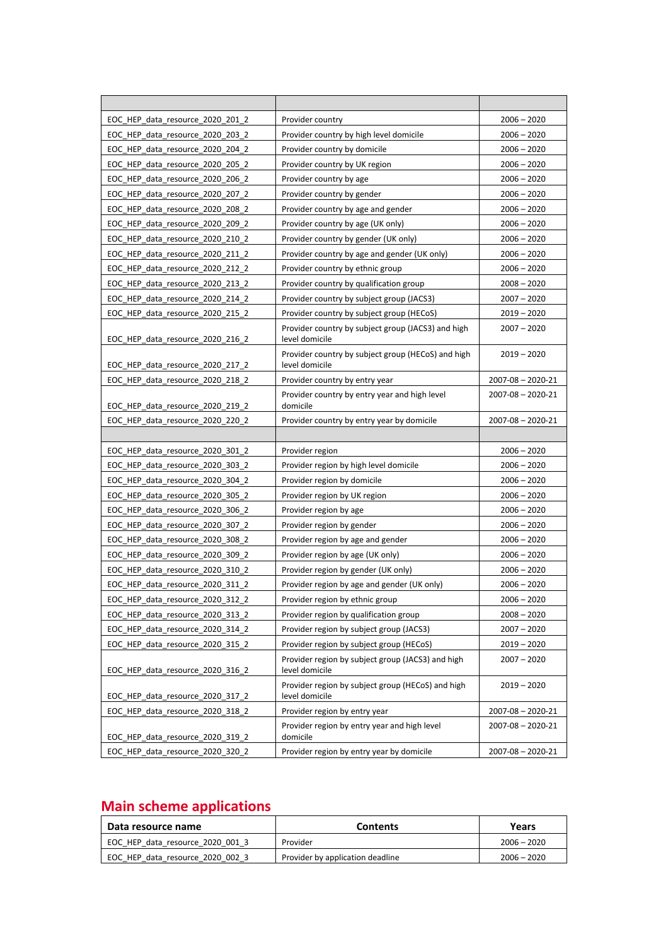| EOC HEP_data_resource_2020_201_2 | Provider country                                                     | $2006 - 2020$           |
|----------------------------------|----------------------------------------------------------------------|-------------------------|
| EOC HEP data resource 2020 203 2 | Provider country by high level domicile                              | $2006 - 2020$           |
| EOC HEP data resource 2020 204 2 | Provider country by domicile                                         | $2006 - 2020$           |
| EOC_HEP_data_resource_2020_205_2 | Provider country by UK region                                        | $2006 - 2020$           |
| EOC_HEP_data_resource_2020_206_2 | Provider country by age                                              | $2006 - 2020$           |
| EOC HEP data resource 2020 207 2 | Provider country by gender                                           | $2006 - 2020$           |
| EOC HEP data resource 2020 208 2 | Provider country by age and gender                                   | $2006 - 2020$           |
| EOC HEP data resource 2020 209 2 | Provider country by age (UK only)                                    | $2006 - 2020$           |
| EOC HEP data resource 2020 210 2 | Provider country by gender (UK only)                                 | $2006 - 2020$           |
| EOC_HEP_data_resource_2020_211_2 | Provider country by age and gender (UK only)                         | $2006 - 2020$           |
| EOC HEP data resource 2020 212 2 | Provider country by ethnic group                                     | $2006 - 2020$           |
| EOC HEP data resource 2020 213 2 | Provider country by qualification group                              | $2008 - 2020$           |
| EOC HEP data resource 2020 214 2 | Provider country by subject group (JACS3)                            | $2007 - 2020$           |
| EOC HEP data resource 2020 215 2 | Provider country by subject group (HECoS)                            | $2019 - 2020$           |
| EOC HEP data resource 2020 216 2 | Provider country by subject group (JACS3) and high<br>level domicile | $2007 - 2020$           |
| EOC HEP data resource 2020 217 2 | Provider country by subject group (HECoS) and high<br>level domicile | $2019 - 2020$           |
| EOC_HEP_data_resource_2020_218_2 | Provider country by entry year                                       | $2007 - 08 - 2020 - 21$ |
| EOC HEP data resource 2020 219 2 | Provider country by entry year and high level<br>domicile            | $2007 - 08 - 2020 - 21$ |
| EOC HEP data resource 2020 220 2 | Provider country by entry year by domicile                           | $2007 - 08 - 2020 - 21$ |
|                                  |                                                                      |                         |
|                                  |                                                                      |                         |
| EOC HEP data resource 2020 301 2 | Provider region                                                      | $2006 - 2020$           |
| EOC HEP data resource 2020 303 2 | Provider region by high level domicile                               | $2006 - 2020$           |
| EOC HEP data resource 2020 304 2 | Provider region by domicile                                          | $2006 - 2020$           |
| EOC HEP_data_resource_2020_305_2 | Provider region by UK region                                         | $2006 - 2020$           |
| EOC_HEP_data_resource_2020_306_2 | Provider region by age                                               | $2006 - 2020$           |
| EOC HEP data resource 2020 307 2 | Provider region by gender                                            | $2006 - 2020$           |
| EOC HEP data resource 2020 308 2 | Provider region by age and gender                                    | $2006 - 2020$           |
| EOC HEP data resource 2020 309 2 | Provider region by age (UK only)                                     | $2006 - 2020$           |
| EOC HEP data resource 2020 310 2 | Provider region by gender (UK only)                                  | $2006 - 2020$           |
| EOC_HEP_data_resource_2020_311_2 | Provider region by age and gender (UK only)                          | $2006 - 2020$           |
| EOC_HEP_data_resource_2020_312_2 | Provider region by ethnic group                                      | $2006 - 2020$           |
| EOC_HEP_data_resource_2020_313_2 | Provider region by qualification group                               | $2008 - 2020$           |
| EOC_HEP_data_resource_2020_314_2 | Provider region by subject group (JACS3)                             | $2007 - 2020$           |
| EOC HEP data resource 2020 315 2 | Provider region by subject group (HECoS)                             | $2019 - 2020$           |
| EOC_HEP_data_resource_2020_316_2 | Provider region by subject group (JACS3) and high<br>level domicile  | $2007 - 2020$           |
| EOC_HEP_data_resource_2020_317_2 | Provider region by subject group (HECoS) and high<br>level domicile  | $2019 - 2020$           |
| EOC_HEP_data_resource_2020_318_2 | Provider region by entry year                                        | $2007 - 08 - 2020 - 21$ |
| EOC_HEP_data_resource_2020_319_2 | Provider region by entry year and high level<br>domicile             | $2007 - 08 - 2020 - 21$ |

#### **Main scheme applications**

| Data resource name               | <b>Contents</b>                  | Years         |
|----------------------------------|----------------------------------|---------------|
| EOC HEP data resource 2020 001 3 | Provider                         | $2006 - 2020$ |
| EOC HEP data resource 2020 002 3 | Provider by application deadline | $2006 - 2020$ |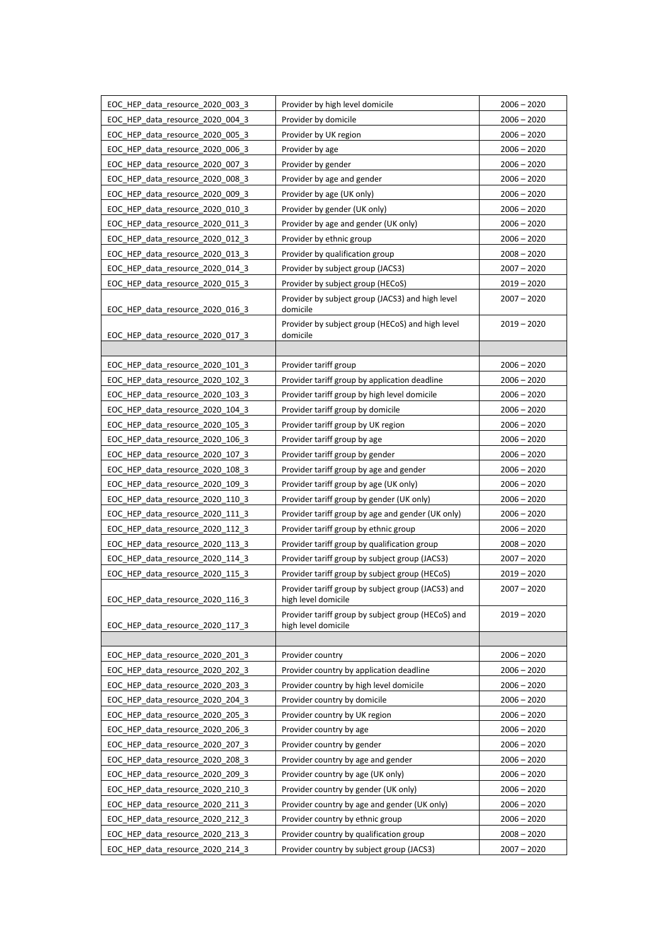| EOC HEP data resource 2020 003 3 | Provider by high level domicile                                           | $2006 - 2020$ |
|----------------------------------|---------------------------------------------------------------------------|---------------|
| EOC HEP data resource 2020 004 3 | Provider by domicile                                                      | $2006 - 2020$ |
| EOC HEP data resource 2020 005 3 | Provider by UK region                                                     | $2006 - 2020$ |
| EOC HEP data resource 2020 006 3 | Provider by age                                                           | $2006 - 2020$ |
| EOC HEP data resource 2020 007 3 | Provider by gender                                                        | $2006 - 2020$ |
| EOC_HEP_data_resource_2020_008_3 | Provider by age and gender                                                | $2006 - 2020$ |
| EOC HEP data resource 2020 009 3 | Provider by age (UK only)                                                 | $2006 - 2020$ |
| EOC HEP data resource 2020 010 3 | Provider by gender (UK only)                                              | $2006 - 2020$ |
| EOC HEP data resource 2020 011 3 | Provider by age and gender (UK only)                                      | $2006 - 2020$ |
| EOC_HEP_data_resource_2020_012_3 | Provider by ethnic group                                                  | $2006 - 2020$ |
| EOC HEP data resource 2020 013 3 | Provider by qualification group                                           | $2008 - 2020$ |
| EOC HEP data resource 2020 014 3 | Provider by subject group (JACS3)                                         | $2007 - 2020$ |
| EOC_HEP_data_resource_2020_015_3 | Provider by subject group (HECoS)                                         | $2019 - 2020$ |
| EOC HEP data resource 2020 016 3 | Provider by subject group (JACS3) and high level<br>domicile              | $2007 - 2020$ |
| EOC HEP data resource 2020 017 3 | Provider by subject group (HECoS) and high level<br>domicile              | $2019 - 2020$ |
|                                  |                                                                           |               |
| EOC HEP data resource 2020 101 3 | Provider tariff group                                                     | $2006 - 2020$ |
| EOC HEP data resource 2020 102 3 | Provider tariff group by application deadline                             | $2006 - 2020$ |
| EOC_HEP_data_resource_2020_103_3 | Provider tariff group by high level domicile                              | $2006 - 2020$ |
| EOC_HEP_data_resource_2020_104_3 | Provider tariff group by domicile                                         | $2006 - 2020$ |
| EOC_HEP_data_resource_2020_105_3 | Provider tariff group by UK region                                        | $2006 - 2020$ |
| EOC HEP data resource 2020 106 3 | Provider tariff group by age                                              | $2006 - 2020$ |
| EOC_HEP_data_resource_2020_107_3 | Provider tariff group by gender                                           | $2006 - 2020$ |
| EOC HEP data resource 2020 108 3 | Provider tariff group by age and gender                                   | $2006 - 2020$ |
| EOC_HEP_data_resource_2020_109_3 | Provider tariff group by age (UK only)                                    | $2006 - 2020$ |
| EOC_HEP_data_resource_2020_110_3 | Provider tariff group by gender (UK only)                                 | $2006 - 2020$ |
| EOC HEP data resource 2020 111 3 | Provider tariff group by age and gender (UK only)                         | $2006 - 2020$ |
| EOC HEP data resource 2020 112 3 | Provider tariff group by ethnic group                                     | $2006 - 2020$ |
| EOC_HEP_data_resource_2020_113_3 | Provider tariff group by qualification group                              | $2008 - 2020$ |
| EOC HEP data resource 2020 114 3 | Provider tariff group by subject group (JACS3)                            | $2007 - 2020$ |
| EOC_HEP_data_resource_2020_115_3 | Provider tariff group by subject group (HECoS)                            | $2019 - 2020$ |
| EOC_HEP_data_resource_2020_116_3 | Provider tariff group by subject group (JACS3) and<br>high level domicile | $2007 - 2020$ |
| EOC HEP data resource 2020 117 3 | Provider tariff group by subject group (HECoS) and<br>high level domicile | $2019 - 2020$ |
|                                  |                                                                           |               |
| EOC_HEP_data_resource_2020_201_3 | Provider country                                                          | $2006 - 2020$ |
| EOC_HEP_data_resource_2020_202_3 | Provider country by application deadline                                  | $2006 - 2020$ |
| EOC HEP data resource 2020 203 3 | Provider country by high level domicile                                   | $2006 - 2020$ |
| EOC HEP data resource 2020 204 3 | Provider country by domicile                                              | $2006 - 2020$ |
| EOC_HEP_data_resource_2020_205_3 | Provider country by UK region                                             | $2006 - 2020$ |
| EOC HEP data resource 2020 206 3 | Provider country by age                                                   | $2006 - 2020$ |
| EOC HEP data resource 2020 207 3 | Provider country by gender                                                | $2006 - 2020$ |
| EOC_HEP_data_resource_2020_208_3 | Provider country by age and gender                                        | $2006 - 2020$ |
| EOC_HEP_data_resource_2020_209_3 | Provider country by age (UK only)                                         | $2006 - 2020$ |
| EOC_HEP_data_resource_2020_210_3 | Provider country by gender (UK only)                                      | $2006 - 2020$ |
| EOC_HEP_data_resource_2020_211_3 | Provider country by age and gender (UK only)                              | $2006 - 2020$ |
| EOC_HEP_data_resource_2020_212_3 | Provider country by ethnic group                                          | $2006 - 2020$ |
| EOC HEP data resource 2020 213 3 | Provider country by qualification group                                   | $2008 - 2020$ |
| EOC_HEP_data_resource_2020_214_3 | Provider country by subject group (JACS3)                                 | $2007 - 2020$ |